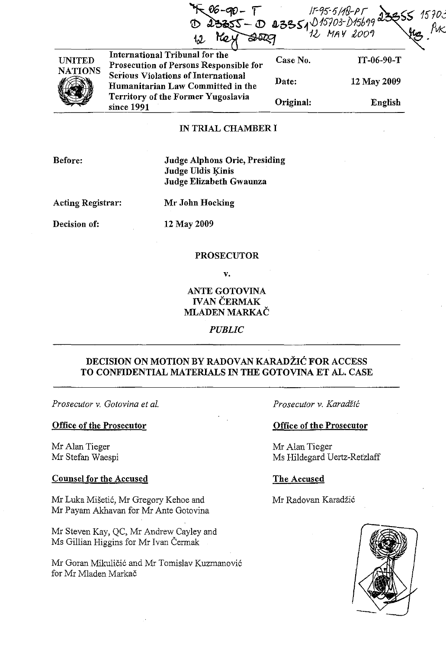|                                 | <b>Hay</b><br>12                                                                |           | $06 - 90 - 17$<br>$0.23855 - 0.233554015703 - 0156992355515703$<br>$12$ MAY 2009 |
|---------------------------------|---------------------------------------------------------------------------------|-----------|----------------------------------------------------------------------------------|
| <b>UNITED</b><br><b>NATIONS</b> | International Tribunal for the<br>Prosecution of Persons Responsible for        | Case No.  | $IT-06-90-T$                                                                     |
|                                 | <b>Serious Violations of International</b><br>Humanitarian Law Committed in the | Date:     | 12 May 2009                                                                      |
|                                 | Territory of the Former Yugoslavia<br>since 1991                                | Original: | English                                                                          |

## IN TRIAL CHAMBER I

Before: Judge Alphons Orie, Presiding Judge Uldis Kinis Judge Elizabeth Gwaunza

Acting Registrar:

Mr John Hocking

Decision of:

12 May 2009

## PROSECUTOR

v.

## ANTE GOTOVINA IVAN CERMAK MLADEN MARKAČ

*PUBLIC* 

## DECISION ON MOTION BY RADOVAN KARADŽIĆ FOR ACCESS TO CONFIDENTIAL MATERIALS IN THE GOTOVINA ET AL. CASE

*Prosecutor v. Gotovina et al.* 

## Office of the Prosecutor

Mr Alan Tieger Mr Stefan Waespi

## Counsel for the Accused

Mr Luka Misetic, Mr Gregory Kehoe and Mr Payam Akhavan for Mr Ante Gotovina

Mr Steven Kay, QC, Mr Andrew Cayley and Ms Gillian Higgins for Mr Ivan Cermak

Mr Goran Mikuličić and Mr Tomislav Kuzmanović for Mr Mladen Markac

Prosecutor v. Karadžić

## Office of the Prosecutor

Mr Alan Tieger Ms Hildegard Uertz-Retzlaff

## The Accused

Mr Radovan Karadžić

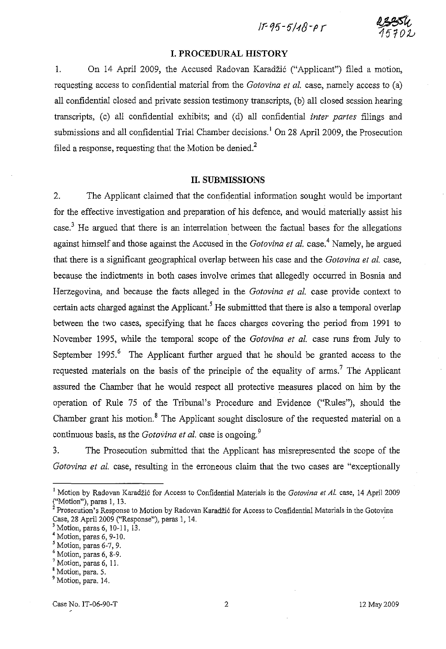$11 - 95 - 5148 - 95$ 

## **I. PROCEDURAL HISTORY**

1. On 14 April 2009, the Accused Radovan Karadžić ("Applicant") filed a motion, requesting access to confidential material from the *Gotovina et al.* case, namely access to (a) all confidential closed and private session testimony transcripts, (b) all closed session hearing transcripts, (c) all confidential exhibits; and (d) all confidential *inter partes* filings and submissions and all confidential Trial Chamber decisions.<sup>1</sup> On 28 April 2009, the Prosecution filed a response, requesting that the Motion be denied.<sup>2</sup>

## **II. SUBMISSIONS**

2. The Applicant claimed that the confidential information sought would be important for the effective investigation and preparation of his defence, and would materially assist his case.<sup>3</sup> He argued that there is an interrelation between the factual bases for the allegations against himself and those against the Accused in the *Gotovina et al.* case.4 Namely, he argued that there is a significant geographical overlap between his case and the *Gotovina et al.* case, because the indictments in both cases involve crimes that allegedly occurred in Bosnia and Herzegovina, and because the facts alleged in the *Gotovina et al.* case provide context to certain acts charged against the Applicant.<sup>5</sup> He submitted that there is also a temporal overlap between the two cases, specifying that he faces charges covering the period from 1991 to November 1995, while the temporal scope of the *Gotovina et al.* case runs from July to September 1995.<sup>6</sup> The Applicant further argued that he should be granted access to the requested materials on the basis of the principle of the equality of arms.<sup>7</sup> The Applicant assured the Chamber that he would respect all protective measures placed on him by the operation of Rule 75 of the Tribunal's Procedure and Evidence ("Rules"), should the Chamber grant his motion.<sup>8</sup> The Applicant sought disclosure of the requested material on a continuous basis, as the *Gotovina et al.* case is ongoing.<sup>9</sup>

3. The Prosecution submitted that the Applicant has misrepresented the scope of the *Gotovina et al.* case, resulting in the erroneous claim that the two cases are "exceptionally

<sup>&</sup>lt;sup>1</sup> Motion by Radovan Karadžić for Access to Confidential Materials in the *Gotovina et Al.* case, 14 April 2009 ("Motion"), paras 1, 13.

<sup>&</sup>lt;sup>2</sup> Prosecution's Response to Motion by Radovan Karadžić for Access to Confidential Materials in the Gotovina Case, 28 April 2009 ("Response"), paras 1, 14.

Motion, paras 6, 10-11, 13.

 $<sup>4</sup>$  Motion, paras 6, 9-10.</sup>

 $<sup>5</sup>$  Motion, paras 6-7, 9.</sup>

**<sup>6</sup> Motion, paras 6, 8-9.** 

 $<sup>7</sup>$  Motion, paras 6, 11.</sup>

<sup>&</sup>lt;sup>8</sup> Motion, para. 5.

<sup>&</sup>lt;sup>9</sup> Motion, para. 14.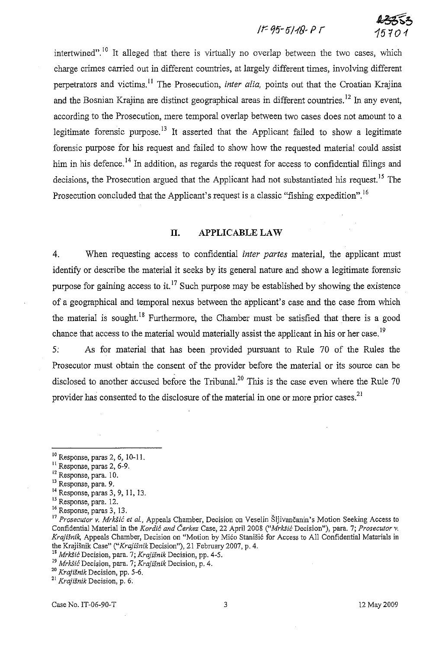# tr-95-5118-Pr **43553**

15701

intertwined".<sup>10</sup> It alleged that there is virtually no overlap between the two cases, which charge crimes carried out in different countries, at largely different times, involving different perpetrators and victims.<sup>11</sup> The Prosecution, *inter alia*, points out that the Croatian Krajina and the Bosnian Krajina are distinct geographical areas in different countries.<sup>12</sup> In any event, according to the Prosecution, mere temporal overlap between two cases does not amount to a legitimate forensic purpose.<sup>13</sup> It asserted that the Applicant failed to show a legitimate forensic purpose for his request and failed to show how the requested material could assist him in his defence.<sup>14</sup> In addition, as regards the request for access to confidential filings and decisions, the Prosecution argued that the Applicant had not substantiated his request.<sup>15</sup> The Prosecution concluded that the Applicant's request is a classic "fishing expedition".<sup>16</sup>

## **II.** APPLICABLE LAW

4. When requesting access to confidential *inter partes* material, the applicant must identify or describe the material it seeks by its general nature and show a legitimate forensic purpose for gaining access to it.<sup>17</sup> Such purpose may be established by showing the existence of a geographical and temporal nexus between the applicant's case and the case from which the material is sought.<sup>18</sup> Furthermore, the Chamber must be satisfied that there is a good chance that access to the material would materially assist the applicant in his or her case.<sup>19</sup>

5: As for material that has been provided pursuant to Rule 70 of the Rules the Prosecutor must obtain the consent of the provider before the material or its source can be disclosed to another accused before the Tribunal.<sup>20</sup> This is the case even where the Rule 70 provider has consented to the disclosure of the material in one or more prior cases.<sup>21</sup>

- <sup>11</sup> Response, paras 2, 6-9.
- <sup>12</sup> Response, para. 10.
- <sup>13</sup> Response, para. 9.
- 14 Response, paras 3, 9, II, 13.
- 15 Response, para. 12.
- **<sup>16</sup>Response, paras 3, 13.**

<sup>18</sup>*Mrk!ii6* Decision, para. 7; *Krajisnik* Decision, pp. 4-5.

<sup>20</sup>*Krajisnik* Decision, pp. 5-6.

**21 Krajisnik Decision, p. 6;** 

Case No. 1T-06-90-T 2 May 2009

<sup>10</sup> Response, paras 2, 6, 10-11.

<sup>17</sup>*Prosecutor* v. *MrkSic et al.,* Appeals Chamber, Decision on Veselin Sljivancanin's Motion Seeking Access to Confidential Material in the *Kordic and Cerkez* Case, 22 April 2008 *("Mrk!ii6* Decision"), para. 7; *Prosecutor* v. *Krajisnik,* Appeals Chamber, Decision on "Motion by Mica Stanisic for Access to All Confidential Materials in the KrajiSnik Case" *("Krajisnik* Decision"), 21 February 2007, p. 4.

**J9** *MrkSic* **Decision, para. 7;** *Krajisnik* **Decision, p. 4.**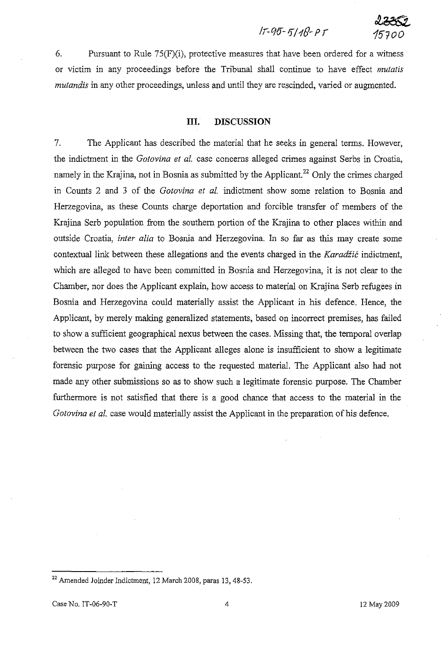## Ir-*qo-* 1f/18- *P r 15700*

 $2352$ 

6. Pursuant to Rule 75(F)(i), protective measures that have been ordered for a witness or victim in any proceedings before the Tribunal shall continue to have effect *mutatis mutandis* in any other proceedings, unless and until they are rescinded, varied or augmented.

## **III. DISCUSSION**

7. The Applicant has described the material that he seeks in general terms. However, the indictment in the *Gotovina et al.* case concerns alleged crimes against Serbs in Croatia, namely in the Krajina, not in Bosnia as submitted by the Applicant.<sup>22</sup> Only the crimes charged in Counts 2 and 3 of the *Gotovina et at.* indictment show some relation to Bosnia and Herzegovina, as these Counts charge deportation and forcible transfer of members of the Krajina Serb population from the southern portion of the Krajina to other places within and outside Croatia, *inter alia* to Bosnia and Herzegovina. In so far as this may create some contextual link between these allegations and the events charged in the *Karadžić* indictment, which are alleged to have been committed in Bosnia and Herzegovina, it is not clear to the Chamber, nor does the Applicant explain, how access to material on Krajina Serb refugees in Bosnia and Herzegovina could materially assist the Applicant in his defence. Hence, the Applicant, by merely making generalized statements, based on incorrect premises, has failed to show a sufficient geographical nexus between the cases. Missing that, the temporal overlap between the two cases that the Applicant alleges alone is insufficient to show a legitimate forensic purpose for gaining access to the requested material. The Applicant also had not made any other submissions so as to show such a legitimate forensic purpose. The Chamber furthermore is not satisfied that there is a good chance that access to the material in the *Gotovina et al.* case would materially assist the Applicant in the preparation of his defence.

<sup>&</sup>lt;sup>22</sup> Amended Joinder Indictment, 12 March 2008, paras 13, 48-53.